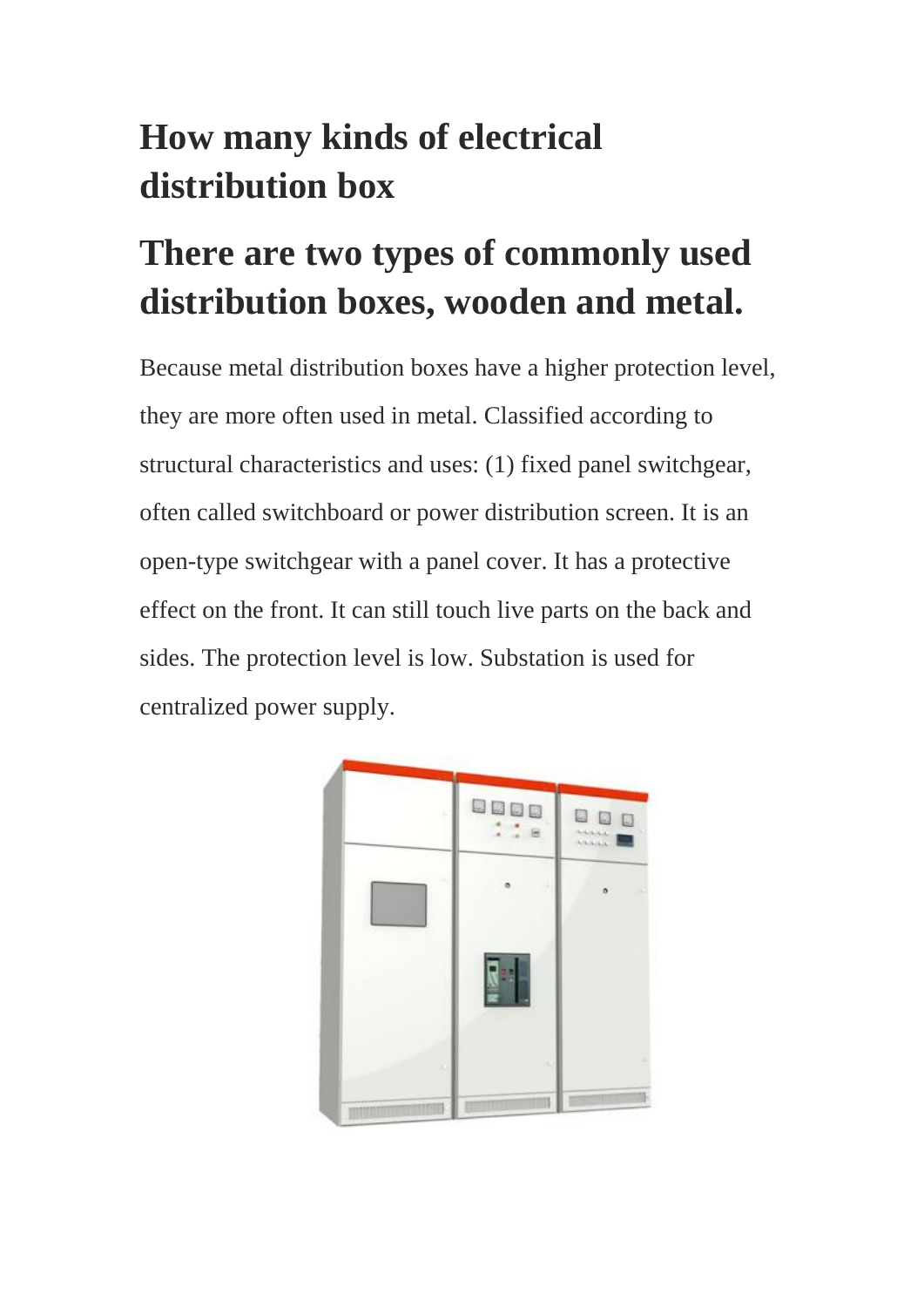## **How many kinds of electrical distribution box**

## **There are two types of commonly used distribution boxes, wooden and metal.**

Because metal distribution boxes have a higher protection level, they are more often used in metal. Classified according to structural characteristics and uses: (1) fixed panel switchgear, often called switchboard or power distribution screen. It is an open-type switchgear with a panel cover. It has a protective effect on the front. It can still touch live parts on the back and sides. The protection level is low. Substation is used for centralized power supply.

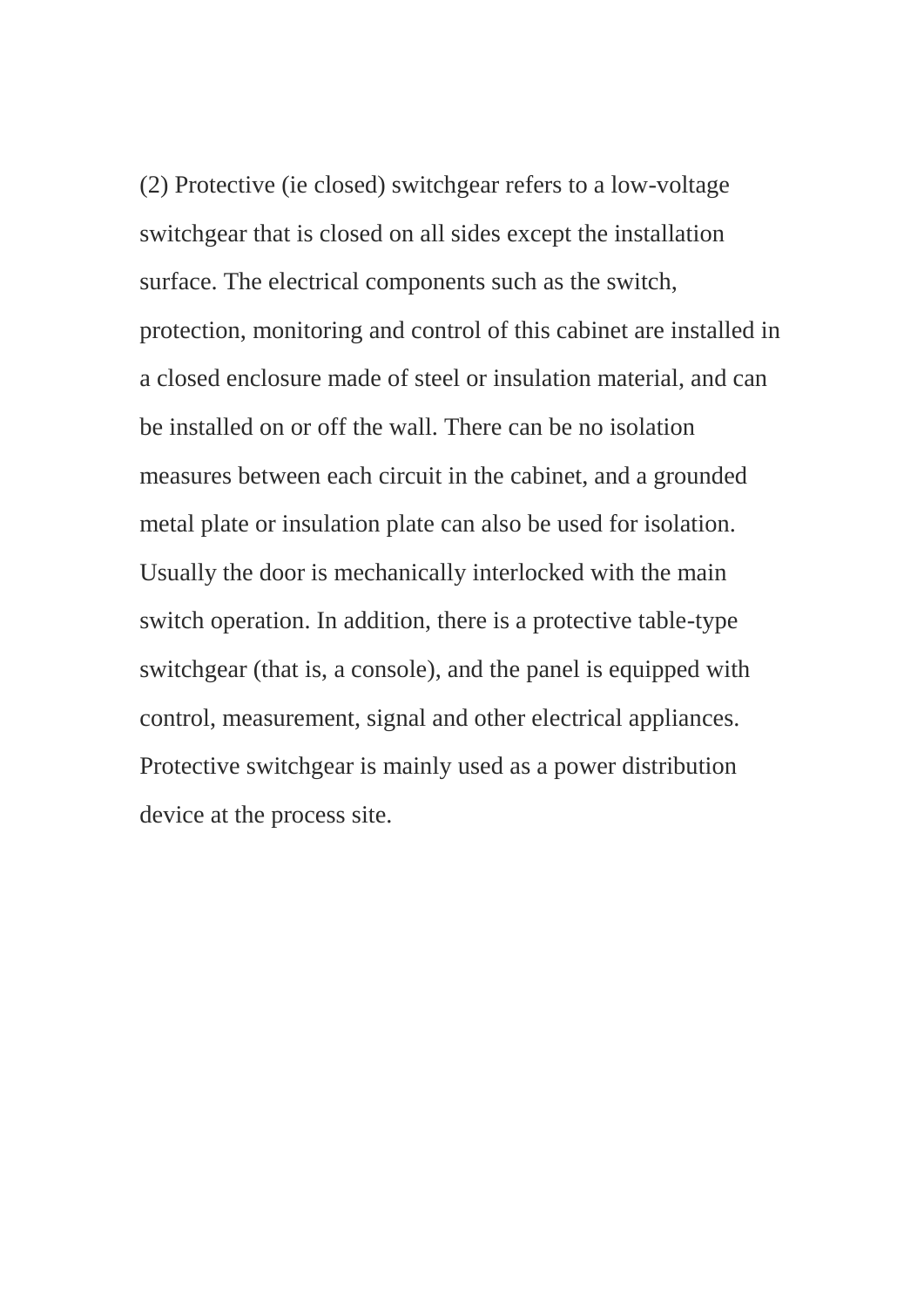(2) Protective (ie closed) switchgear refers to a low-voltage switchgear that is closed on all sides except the installation surface. The electrical components such as the switch, protection, monitoring and control of this cabinet are installed in a closed enclosure made of steel or insulation material, and can be installed on or off the wall. There can be no isolation measures between each circuit in the cabinet, and a grounded metal plate or insulation plate can also be used for isolation. Usually the door is mechanically interlocked with the main switch operation. In addition, there is a protective table-type switchgear (that is, a console), and the panel is equipped with control, measurement, signal and other electrical appliances. Protective switchgear is mainly used as a power distribution device at the process site.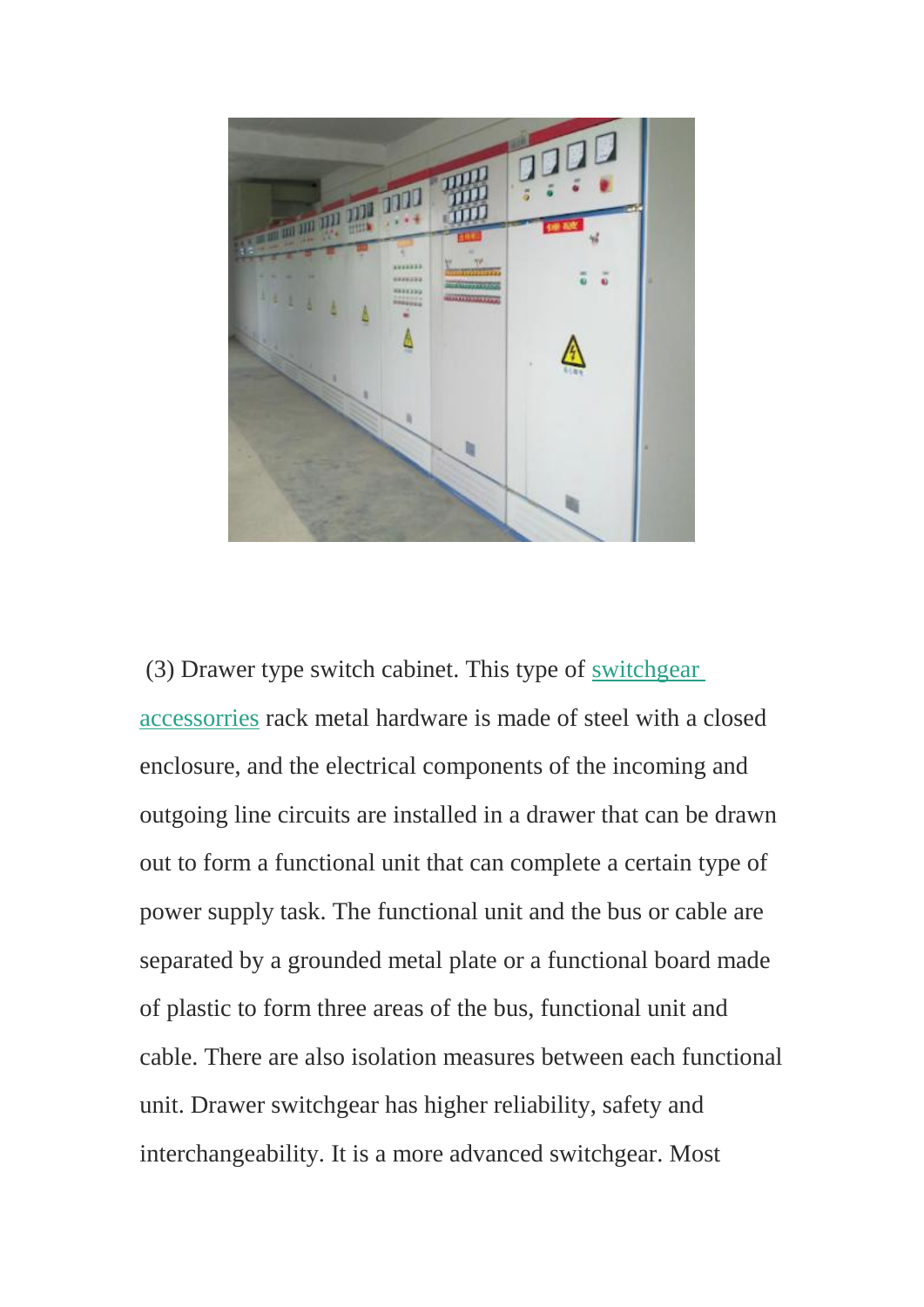

(3) Drawer type switch cabinet. This type of [switchgear](http://rollformerchina.blogspot.com/2020/03/server-cabinet-accessories-factory-china.html)  [accessorries](http://rollformerchina.blogspot.com/2020/03/server-cabinet-accessories-factory-china.html) rack metal hardware is made of steel with a closed enclosure, and the electrical components of the incoming and outgoing line circuits are installed in a drawer that can be drawn out to form a functional unit that can complete a certain type of power supply task. The functional unit and the bus or cable are separated by a grounded metal plate or a functional board made of plastic to form three areas of the bus, functional unit and cable. There are also isolation measures between each functional unit. Drawer switchgear has higher reliability, safety and interchangeability. It is a more advanced switchgear. Most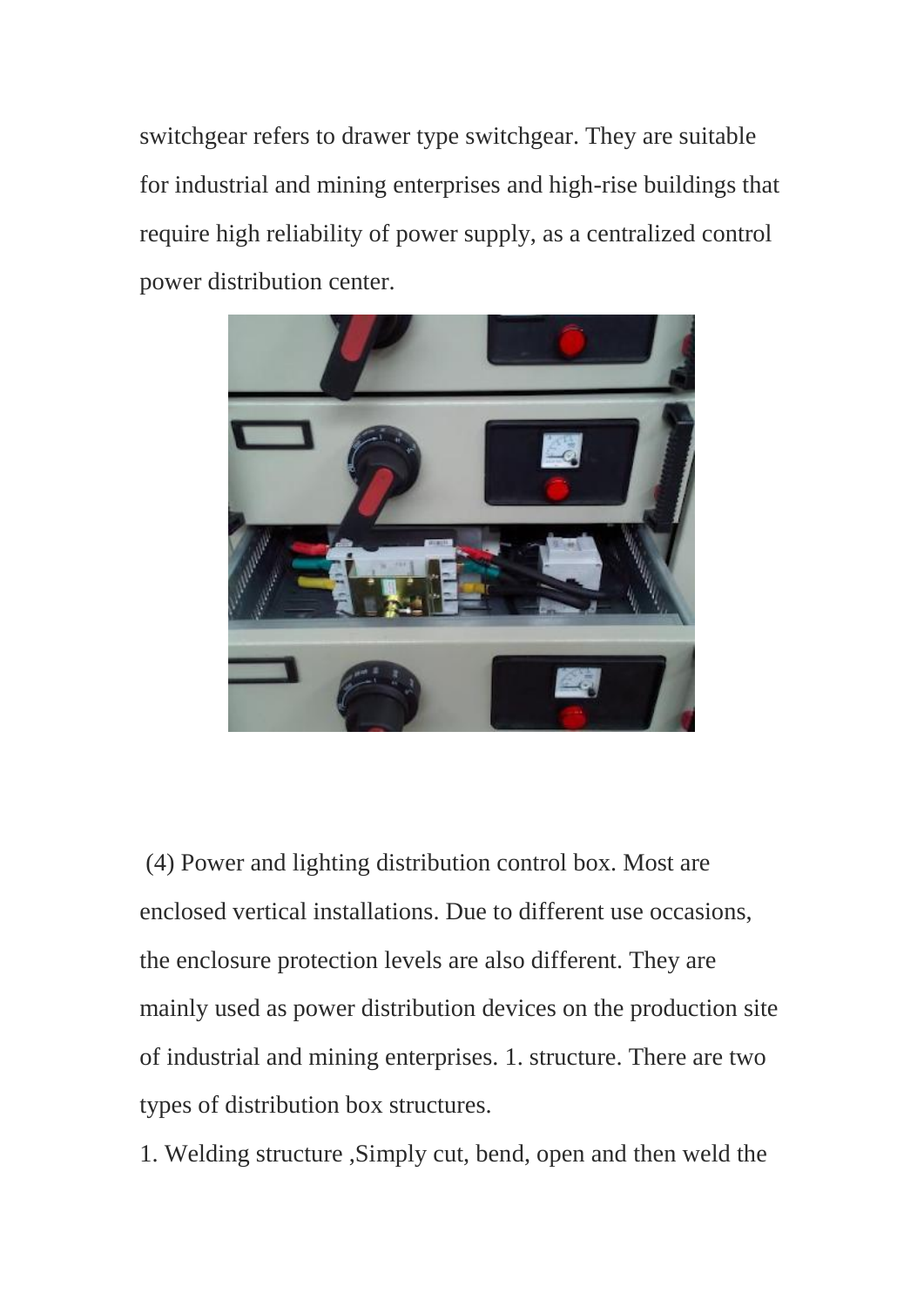switchgear refers to drawer type switchgear. They are suitable for industrial and mining enterprises and high-rise buildings that require high reliability of power supply, as a centralized control power distribution center.



(4) Power and lighting distribution control box. Most are enclosed vertical installations. Due to different use occasions, the enclosure protection levels are also different. They are mainly used as power distribution devices on the production site of industrial and mining enterprises. 1. structure. There are two types of distribution box structures.

1. Welding structure ,Simply cut, bend, open and then weld the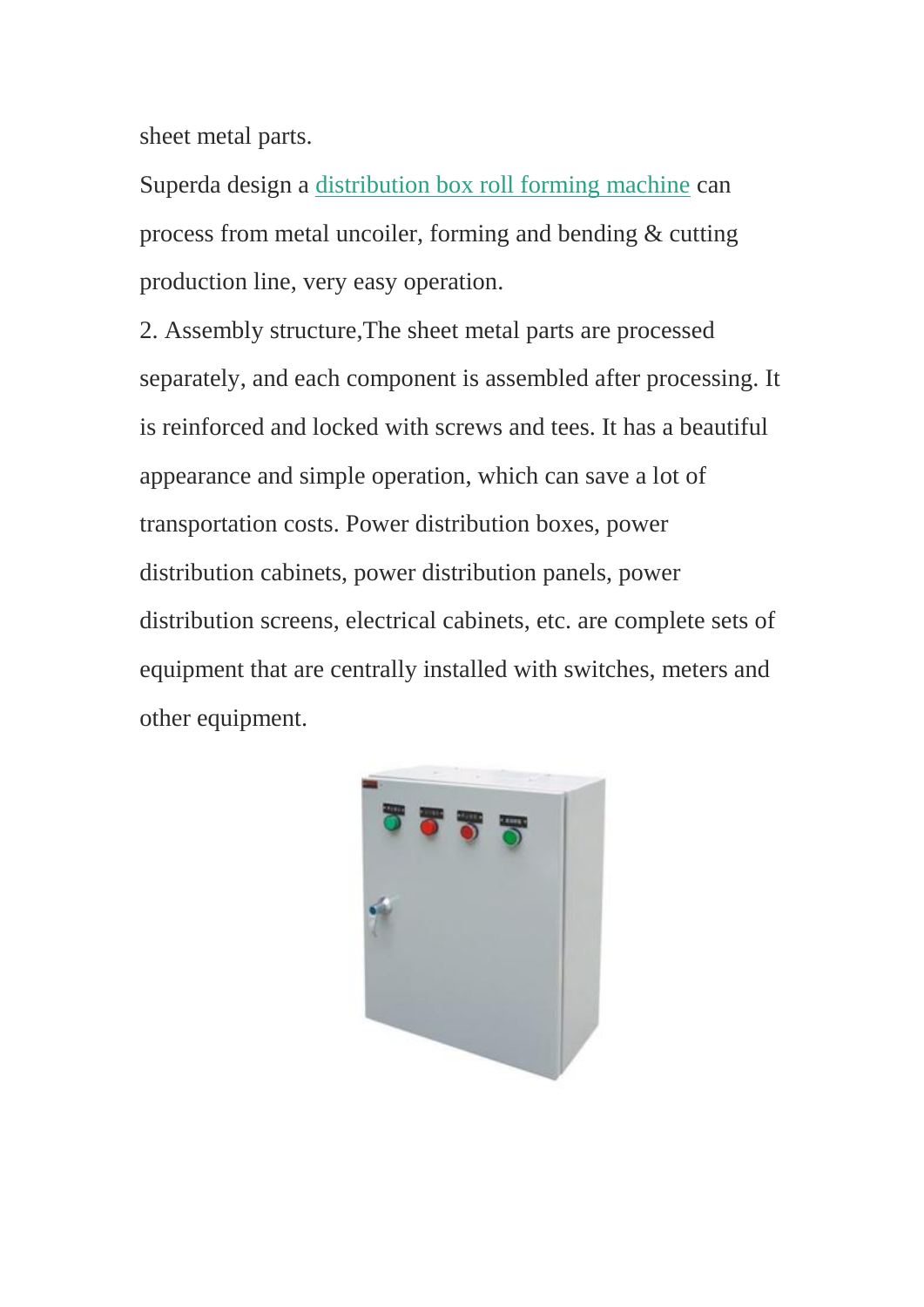sheet metal parts.

Superda design a [distribution box roll forming machine](https://www.superdamc.com/cabinet-box-forming-machine/) can process from metal uncoiler, forming and bending & cutting production line, very easy operation.

2. Assembly structure,The sheet metal parts are processed separately, and each component is assembled after processing. It is reinforced and locked with screws and tees. It has a beautiful appearance and simple operation, which can save a lot of transportation costs. Power distribution boxes, power distribution cabinets, power distribution panels, power distribution screens, electrical cabinets, etc. are complete sets of equipment that are centrally installed with switches, meters and other equipment.